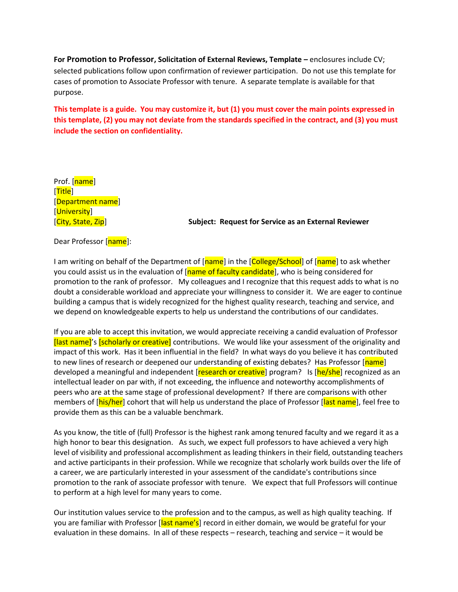**For Promotion to Professor, Solicitation of External Reviews, Template –** enclosures include CV; selected publications follow upon confirmation of reviewer participation. Do not use this template for cases of promotion to Associate Professor with tenure. A separate template is available for that purpose.

**This template is a guide. You may customize it, but (1) you must cover the main points expressed in this template, (2) you may not deviate from the standards specified in the contract, and (3) you must include the section on confidentiality.**

Prof. [name] [Title] [Department name] [University]

[City, State, Zip] **Subject: Request for Service as an External Reviewer**

Dear Professor [name]:

I am writing on behalf of the Department of [name] in the [College/School] of [name] to ask whether you could assist us in the evaluation of [name of faculty candidate], who is being considered for promotion to the rank of professor. My colleagues and I recognize that this request adds to what is no doubt a considerable workload and appreciate your willingness to consider it. We are eager to continue building a campus that is widely recognized for the highest quality research, teaching and service, and we depend on knowledgeable experts to help us understand the contributions of our candidates.

If you are able to accept this invitation, we would appreciate receiving a candid evaluation of Professor [last name]'s [scholarly or creative] contributions. We would like your assessment of the originality and impact of this work. Has it been influential in the field? In what ways do you believe it has contributed to new lines of research or deepened our understanding of existing debates? Has Professor [name] developed a meaningful and independent [research or creative] program? Is [he/she] recognized as an intellectual leader on par with, if not exceeding, the influence and noteworthy accomplishments of peers who are at the same stage of professional development? If there are comparisons with other members of [his/her] cohort that will help us understand the place of Professor [last name], feel free to provide them as this can be a valuable benchmark.

As you know, the title of (full) Professor is the highest rank among tenured faculty and we regard it as a high honor to bear this designation. As such, we expect full professors to have achieved a very high level of visibility and professional accomplishment as leading thinkers in their field, outstanding teachers and active participants in their profession. While we recognize that scholarly work builds over the life of a career, we are particularly interested in your assessment of the candidate's contributions since promotion to the rank of associate professor with tenure. We expect that full Professors will continue to perform at a high level for many years to come.

Our institution values service to the profession and to the campus, as well as high quality teaching. If you are familiar with Professor [last name's] record in either domain, we would be grateful for your evaluation in these domains. In all of these respects – research, teaching and service – it would be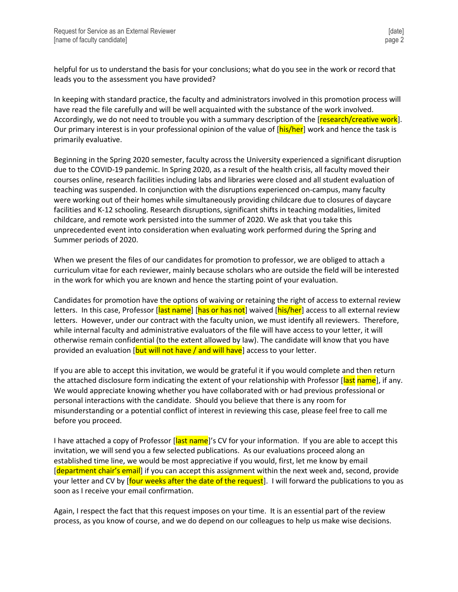helpful for us to understand the basis for your conclusions; what do you see in the work or record that leads you to the assessment you have provided?

In keeping with standard practice, the faculty and administrators involved in this promotion process will have read the file carefully and will be well acquainted with the substance of the work involved. Accordingly, we do not need to trouble you with a summary description of the [research/creative work]. Our primary interest is in your professional opinion of the value of [his/her] work and hence the task is primarily evaluative.

Beginning in the Spring 2020 semester, faculty across the University experienced a significant disruption due to the COVID-19 pandemic. In Spring 2020, as a result of the health crisis, all faculty moved their courses online, research facilities including labs and libraries were closed and all student evaluation of teaching was suspended. In conjunction with the disruptions experienced on-campus, many faculty were working out of their homes while simultaneously providing childcare due to closures of daycare facilities and K-12 schooling. Research disruptions, significant shifts in teaching modalities, limited childcare, and remote work persisted into the summer of 2020. We ask that you take this unprecedented event into consideration when evaluating work performed during the Spring and Summer periods of 2020.

When we present the files of our candidates for promotion to professor, we are obliged to attach a curriculum vitae for each reviewer, mainly because scholars who are outside the field will be interested in the work for which you are known and hence the starting point of your evaluation.

Candidates for promotion have the options of waiving or retaining the right of access to external review letters. In this case, Professor [last name] [has or has not] waived [his/her] access to all external review letters. However, under our contract with the faculty union, we must identify all reviewers. Therefore, while internal faculty and administrative evaluators of the file will have access to your letter, it will otherwise remain confidential (to the extent allowed by law). The candidate will know that you have provided an evaluation  $[but will not have / and will have]$  access to your letter.

If you are able to accept this invitation, we would be grateful it if you would complete and then return the attached disclosure form indicating the extent of your relationship with Professor [last name], if any. We would appreciate knowing whether you have collaborated with or had previous professional or personal interactions with the candidate. Should you believe that there is any room for misunderstanding or a potential conflict of interest in reviewing this case, please feel free to call me before you proceed.

I have attached a copy of Professor [last name]'s CV for your information. If you are able to accept this invitation, we will send you a few selected publications. As our evaluations proceed along an established time line, we would be most appreciative if you would, first, let me know by email [department chair's email] if you can accept this assignment within the next week and, second, provide your letter and CV by [four weeks after the date of the request]. I will forward the publications to you as soon as I receive your email confirmation.

Again, I respect the fact that this request imposes on your time. It is an essential part of the review process, as you know of course, and we do depend on our colleagues to help us make wise decisions.